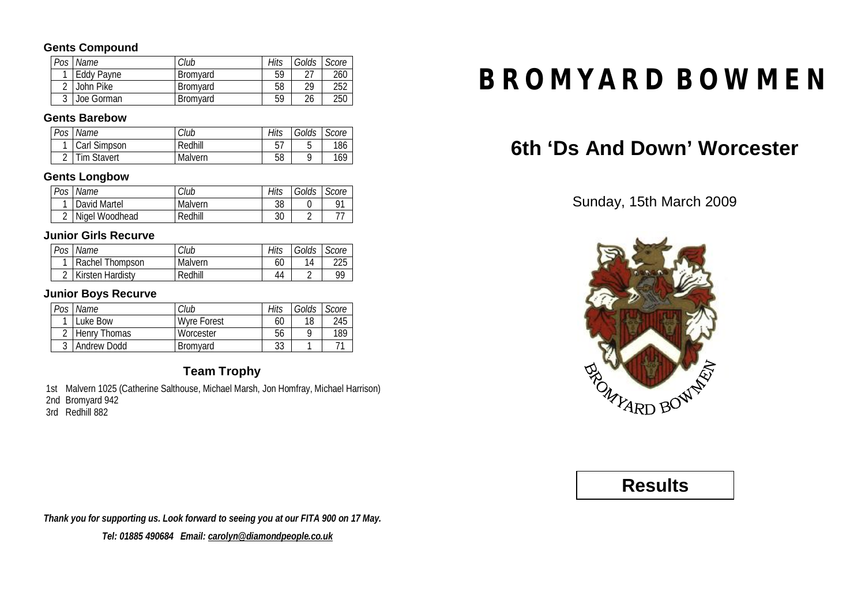### **Gents Compound**

| Pos    | Name       | Club            | Hits | Golds | Score |
|--------|------------|-----------------|------|-------|-------|
|        | Eddy Payne | <b>Bromvard</b> | 59   | רר    | 260   |
|        | John Pike  | <b>Bromvard</b> | 58   | 29    | 252   |
| $\sim$ | Joe Gorman | Bromyard        | 59   | 26    | 250   |

### **Gents Barebow**

| Pos | Name         | Club    | Hits | Golds | Score |
|-----|--------------|---------|------|-------|-------|
|     | Carl Simpson | Redhill |      | ັ     | 186   |
|     | Tim Stavert  | Malvern | 58   |       | 169   |

### **Gents Longbow**

| Pos | Name           | Club    | Hits | Golds | Score |
|-----|----------------|---------|------|-------|-------|
|     | David Martel   | Malvern | 38   |       | 01    |
| ⌒   | Nigel Woodhead | Redhill | 30   |       |       |

### **Junior Girls Recurve**

| Pos Name                | Club    | Hits | Golds Score |     |
|-------------------------|---------|------|-------------|-----|
| Rachel Thompson         | Malvern | 60   |             | 225 |
| <b>Kirsten Hardisty</b> | Redhill | 44   |             | gg  |

### **Junior Boys Recurve**

| Pos    | Name         | Club            | Hits | Golds | Score |
|--------|--------------|-----------------|------|-------|-------|
|        | Luke Bow     | Wyre Forest     | 60   | 18    | 245   |
| ◠      | Henry Thomas | Worcester       | 56   |       | 189   |
| $\sim$ | Andrew Dodd  | <b>Bromvard</b> | 33   |       |       |

### **Team Trophy**

1st Malvern 1025 (Catherine Salthouse, Michael Marsh, Jon Homfray, Michael Harrison) 2nd Bromyard 942

3rd Redhill 882

*Thank you for supporting us. Look forward to seeing you at our FITA 900 on 17 May. Tel: 01885 490684 Email: [carolyn@diamondpeople.co.uk](mailto:carolyn@diamondpeople.co.uk)*

# **BROMYARD BOWMEN**

# **6th 'Ds And Down' Worcester**

Sunday, 15th March 2009



**Results**